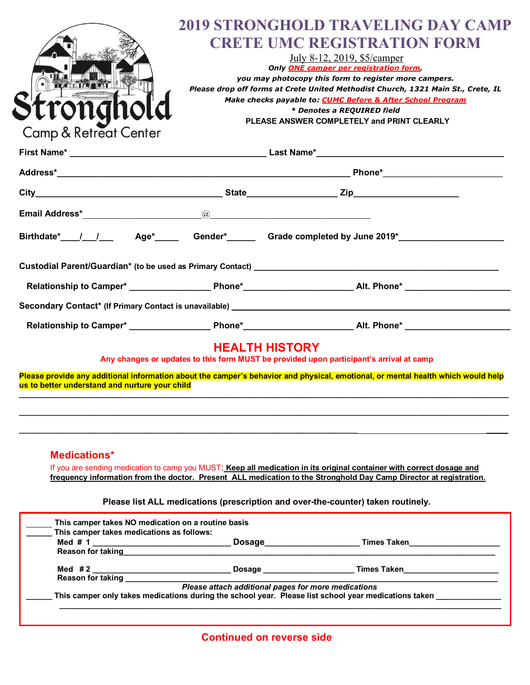|                                                |                                                                                                 | <b>2019 STRONGHOLD TRAVELING DAY CAMP</b>                                                                                                                                                                                      |  |
|------------------------------------------------|-------------------------------------------------------------------------------------------------|--------------------------------------------------------------------------------------------------------------------------------------------------------------------------------------------------------------------------------|--|
|                                                |                                                                                                 | <b>CRETE UMC REGISTRATION FORM</b>                                                                                                                                                                                             |  |
|                                                | July 8-12, 2019, \$5/camper                                                                     |                                                                                                                                                                                                                                |  |
|                                                | Only ONE camper per registration form,<br>you may photocopy this form to register more campers. |                                                                                                                                                                                                                                |  |
|                                                |                                                                                                 | Please drop off forms at Crete United Methodist Church, 1321 Main St., Crete, IL                                                                                                                                               |  |
|                                                |                                                                                                 | Make checks payable to: CUMC Before & After School Program                                                                                                                                                                     |  |
| rona                                           |                                                                                                 | * Denotes a REQUIRED field                                                                                                                                                                                                     |  |
| <b>Camp &amp; Retreat Center</b>               |                                                                                                 | PLEASE ANSWER COMPLETELY and PRINT CLEARLY                                                                                                                                                                                     |  |
|                                                |                                                                                                 |                                                                                                                                                                                                                                |  |
|                                                |                                                                                                 |                                                                                                                                                                                                                                |  |
|                                                |                                                                                                 |                                                                                                                                                                                                                                |  |
|                                                |                                                                                                 |                                                                                                                                                                                                                                |  |
|                                                |                                                                                                 |                                                                                                                                                                                                                                |  |
|                                                |                                                                                                 |                                                                                                                                                                                                                                |  |
|                                                |                                                                                                 |                                                                                                                                                                                                                                |  |
|                                                |                                                                                                 | Relationship to Camper* ________________________Phone*___________________________Alt. Phone* _________________                                                                                                                 |  |
|                                                |                                                                                                 | Secondary Contact* (If Primary Contact is unavailable) entries and the control of the control of the control of the control of the control of the control of the control of the control of the control of the control of the c |  |
|                                                |                                                                                                 |                                                                                                                                                                                                                                |  |
|                                                | <b>HEALTH HISTORY</b>                                                                           | Any changes or updates to this form MUST be provided upon participant's arrival at camp                                                                                                                                        |  |
| us to better understand and nurture your child |                                                                                                 | Please provide any additional information about the camper's behavior and physical, emotional, or mental health which would help                                                                                               |  |
|                                                |                                                                                                 |                                                                                                                                                                                                                                |  |
|                                                |                                                                                                 |                                                                                                                                                                                                                                |  |
|                                                |                                                                                                 |                                                                                                                                                                                                                                |  |
|                                                |                                                                                                 |                                                                                                                                                                                                                                |  |

**Medications\***

If you are sending medication to camp you MUST: **Keep all medication in its original container with correct dosage and frequency information from the doctor. Present ALL medication to the Stronghold Day Camp Director at registration.**

**Please list ALL medications (prescription and over-the-counter) taken routinely.**

|                          | Dosage<br>the contract of the contract of the contract of the contract of                                                                                                                                                          | Times Taken |
|--------------------------|------------------------------------------------------------------------------------------------------------------------------------------------------------------------------------------------------------------------------------|-------------|
| <b>Reason for taking</b> |                                                                                                                                                                                                                                    |             |
| Med $#2$                 | <b>Dosage contract the contract of the contract of the contract of the contract of the contract of the contract of the contract of the contract of the contract of the contract of the contract of the contract of the contrac</b> | Times Taken |
| <b>Reason for taking</b> |                                                                                                                                                                                                                                    |             |
|                          | Please attach additional pages for more medications                                                                                                                                                                                |             |